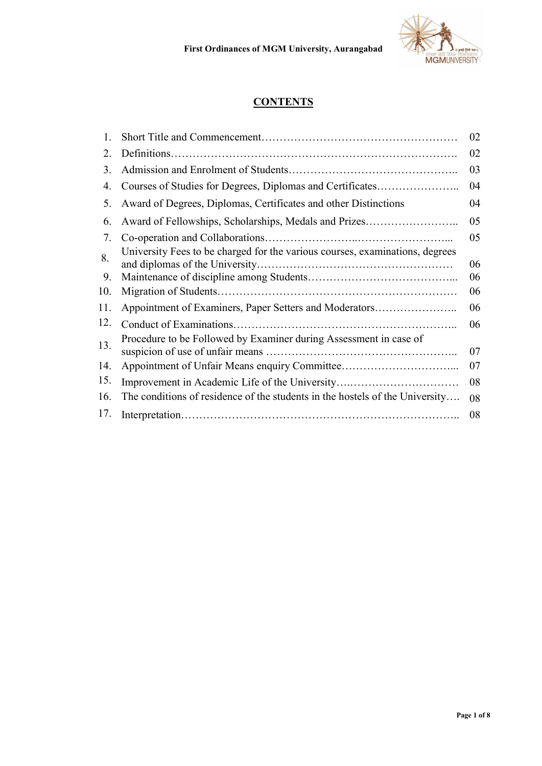

# **CONTENTS**

| $\mathbf{1}$ . |                                                                              | 02 |
|----------------|------------------------------------------------------------------------------|----|
| $2_{\cdot}$    |                                                                              | 02 |
| 3.             |                                                                              | 03 |
| 4.             | Courses of Studies for Degrees, Diplomas and Certificates                    | 04 |
| 5.             | Award of Degrees, Diplomas, Certificates and other Distinctions              | 04 |
| 6.             | Award of Fellowships, Scholarships, Medals and Prizes                        | 05 |
| 7.             |                                                                              | 05 |
| 8.             | University Fees to be charged for the various courses, examinations, degrees | 06 |
| 9.             |                                                                              | 06 |
| 10.            |                                                                              | 06 |
| 11.            | Appointment of Examiners, Paper Setters and Moderators                       | 06 |
| 12.            |                                                                              | 06 |
| 13.            | Procedure to be Followed by Examiner during Assessment in case of            | 07 |
| 14.            |                                                                              | 07 |
| 15.            | Improvement in Academic Life of the University                               | 08 |
| 16.            | The conditions of residence of the students in the hostels of the University | 08 |
| 17.            |                                                                              | 08 |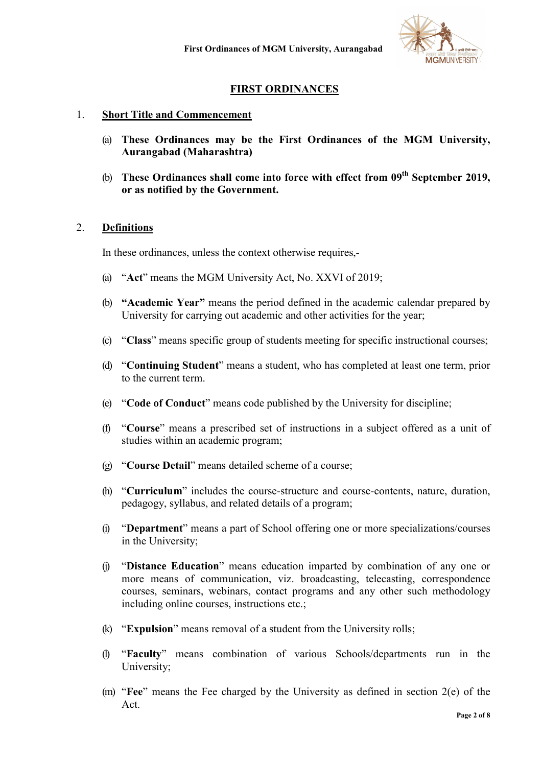

## FIRST ORDINANCES

### 1. Short Title and Commencement

- (a) These Ordinances may be the First Ordinances of the MGM University, Aurangabad (Maharashtra)
- (b) These Ordinances shall come into force with effect from  $09<sup>th</sup>$  September 2019, or as notified by the Government.

### 2. Definitions

In these ordinances, unless the context otherwise requires,-

- (a) "Act" means the MGM University Act, No. XXVI of 2019;
- (b) "Academic Year" means the period defined in the academic calendar prepared by University for carrying out academic and other activities for the year;
- (c) "Class" means specific group of students meeting for specific instructional courses;
- (d) "Continuing Student" means a student, who has completed at least one term, prior to the current term.
- (e) "Code of Conduct" means code published by the University for discipline;
- (f) "Course" means a prescribed set of instructions in a subject offered as a unit of studies within an academic program;
- (g) "Course Detail" means detailed scheme of a course;
- (h) "Curriculum" includes the course-structure and course-contents, nature, duration, pedagogy, syllabus, and related details of a program;
- (i) "Department" means a part of School offering one or more specializations/courses in the University;
- (j) "Distance Education" means education imparted by combination of any one or more means of communication, viz. broadcasting, telecasting, correspondence courses, seminars, webinars, contact programs and any other such methodology including online courses, instructions etc.;
- (k) "Expulsion" means removal of a student from the University rolls;
- (l) "Faculty" means combination of various Schools/departments run in the University;
- (m) "Fee" means the Fee charged by the University as defined in section 2(e) of the Act.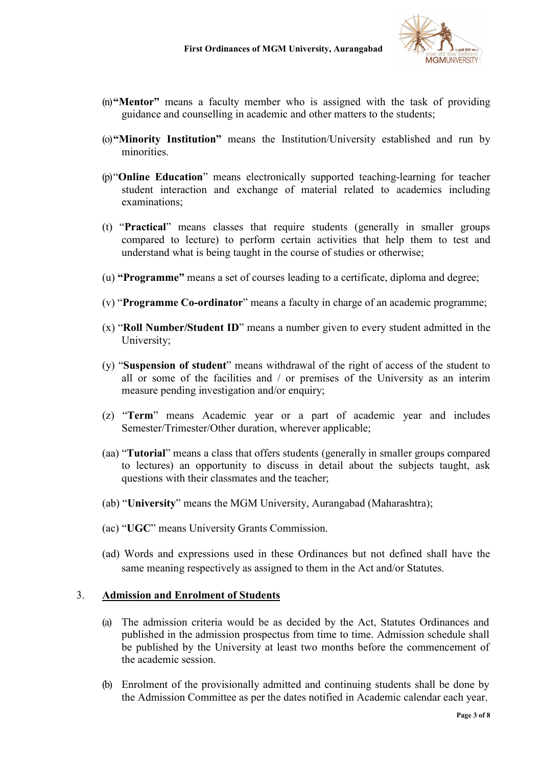

- (n)"Mentor" means a faculty member who is assigned with the task of providing guidance and counselling in academic and other matters to the students;
- (o)"Minority Institution" means the Institution/University established and run by minorities.
- (p)"Online Education" means electronically supported teaching-learning for teacher student interaction and exchange of material related to academics including examinations;
- (t) "Practical" means classes that require students (generally in smaller groups compared to lecture) to perform certain activities that help them to test and understand what is being taught in the course of studies or otherwise;
- (u) "Programme" means a set of courses leading to a certificate, diploma and degree;
- (v) "Programme Co-ordinator" means a faculty in charge of an academic programme;
- (x) "Roll Number/Student ID" means a number given to every student admitted in the University;
- (y) "Suspension of student" means withdrawal of the right of access of the student to all or some of the facilities and / or premises of the University as an interim measure pending investigation and/or enquiry;
- (z) "Term" means Academic year or a part of academic year and includes Semester/Trimester/Other duration, wherever applicable;
- (aa) "Tutorial" means a class that offers students (generally in smaller groups compared to lectures) an opportunity to discuss in detail about the subjects taught, ask questions with their classmates and the teacher;
- (ab) "University" means the MGM University, Aurangabad (Maharashtra);
- (ac) "UGC" means University Grants Commission.
- (ad) Words and expressions used in these Ordinances but not defined shall have the same meaning respectively as assigned to them in the Act and/or Statutes.

#### 3. Admission and Enrolment of Students

- (a) The admission criteria would be as decided by the Act, Statutes Ordinances and published in the admission prospectus from time to time. Admission schedule shall be published by the University at least two months before the commencement of the academic session.
- (b) Enrolment of the provisionally admitted and continuing students shall be done by the Admission Committee as per the dates notified in Academic calendar each year.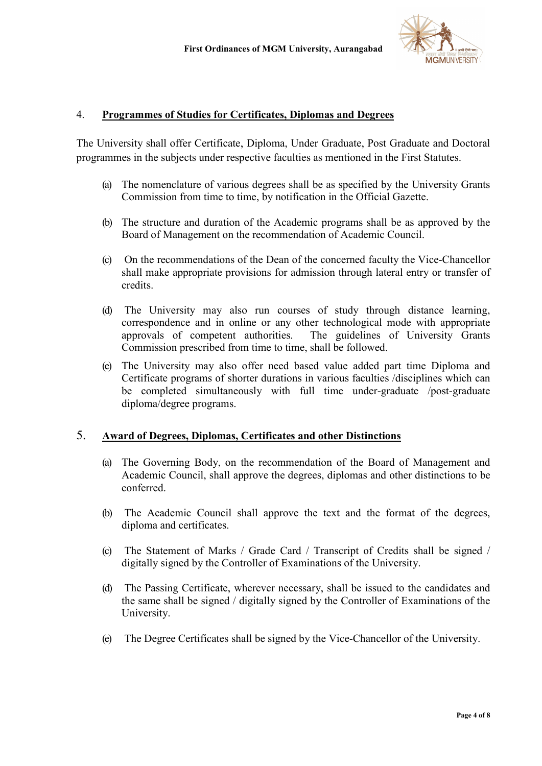

### 4. Programmes of Studies for Certificates, Diplomas and Degrees

The University shall offer Certificate, Diploma, Under Graduate, Post Graduate and Doctoral programmes in the subjects under respective faculties as mentioned in the First Statutes.

- (a) The nomenclature of various degrees shall be as specified by the University Grants Commission from time to time, by notification in the Official Gazette.
- (b) The structure and duration of the Academic programs shall be as approved by the Board of Management on the recommendation of Academic Council.
- (c) On the recommendations of the Dean of the concerned faculty the Vice-Chancellor shall make appropriate provisions for admission through lateral entry or transfer of credits.
- (d) The University may also run courses of study through distance learning, correspondence and in online or any other technological mode with appropriate approvals of competent authorities. The guidelines of University Grants Commission prescribed from time to time, shall be followed.
- (e) The University may also offer need based value added part time Diploma and Certificate programs of shorter durations in various faculties /disciplines which can be completed simultaneously with full time under-graduate /post-graduate diploma/degree programs.

### 5. Award of Degrees, Diplomas, Certificates and other Distinctions

- (a) The Governing Body, on the recommendation of the Board of Management and Academic Council, shall approve the degrees, diplomas and other distinctions to be conferred.
- (b) The Academic Council shall approve the text and the format of the degrees, diploma and certificates.
- (c) The Statement of Marks / Grade Card / Transcript of Credits shall be signed / digitally signed by the Controller of Examinations of the University.
- (d) The Passing Certificate, wherever necessary, shall be issued to the candidates and the same shall be signed / digitally signed by the Controller of Examinations of the University.
- (e) The Degree Certificates shall be signed by the Vice-Chancellor of the University.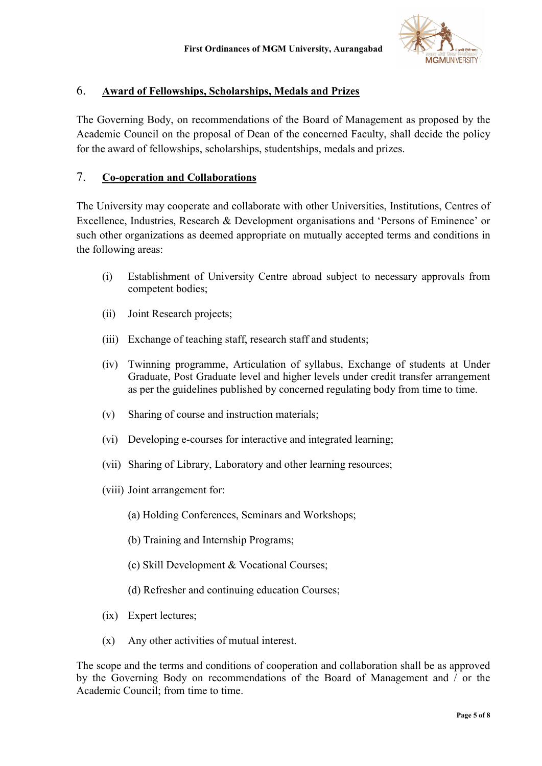

### 6. Award of Fellowships, Scholarships, Medals and Prizes

The Governing Body, on recommendations of the Board of Management as proposed by the Academic Council on the proposal of Dean of the concerned Faculty, shall decide the policy for the award of fellowships, scholarships, studentships, medals and prizes.

### 7. Co-operation and Collaborations

The University may cooperate and collaborate with other Universities, Institutions, Centres of Excellence, Industries, Research & Development organisations and 'Persons of Eminence' or such other organizations as deemed appropriate on mutually accepted terms and conditions in the following areas:

- (i) Establishment of University Centre abroad subject to necessary approvals from competent bodies;
- (ii) Joint Research projects;
- (iii) Exchange of teaching staff, research staff and students;
- (iv) Twinning programme, Articulation of syllabus, Exchange of students at Under Graduate, Post Graduate level and higher levels under credit transfer arrangement as per the guidelines published by concerned regulating body from time to time.
- (v) Sharing of course and instruction materials;
- (vi) Developing e-courses for interactive and integrated learning;
- (vii) Sharing of Library, Laboratory and other learning resources;
- (viii) Joint arrangement for:
	- (a) Holding Conferences, Seminars and Workshops;
	- (b) Training and Internship Programs;
	- (c) Skill Development & Vocational Courses;
	- (d) Refresher and continuing education Courses;
- (ix) Expert lectures;
- (x) Any other activities of mutual interest.

The scope and the terms and conditions of cooperation and collaboration shall be as approved by the Governing Body on recommendations of the Board of Management and / or the Academic Council; from time to time.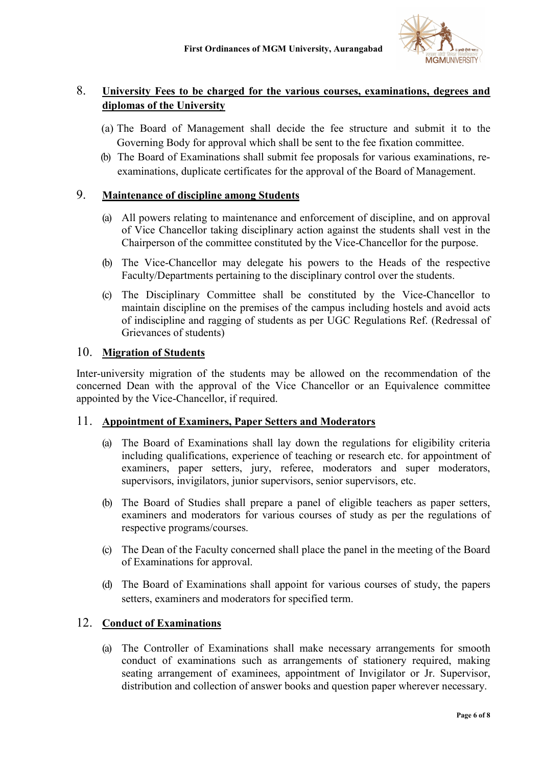

## 8. University Fees to be charged for the various courses, examinations, degrees and diplomas of the University

- (a) The Board of Management shall decide the fee structure and submit it to the Governing Body for approval which shall be sent to the fee fixation committee.
- (b) The Board of Examinations shall submit fee proposals for various examinations, reexaminations, duplicate certificates for the approval of the Board of Management.

## 9. Maintenance of discipline among Students

- (a) All powers relating to maintenance and enforcement of discipline, and on approval of Vice Chancellor taking disciplinary action against the students shall vest in the Chairperson of the committee constituted by the Vice-Chancellor for the purpose.
- (b) The Vice-Chancellor may delegate his powers to the Heads of the respective Faculty/Departments pertaining to the disciplinary control over the students.
- (c) The Disciplinary Committee shall be constituted by the Vice-Chancellor to maintain discipline on the premises of the campus including hostels and avoid acts of indiscipline and ragging of students as per UGC Regulations Ref. (Redressal of Grievances of students)

### 10. Migration of Students

Inter-university migration of the students may be allowed on the recommendation of the concerned Dean with the approval of the Vice Chancellor or an Equivalence committee appointed by the Vice-Chancellor, if required.

## 11. Appointment of Examiners, Paper Setters and Moderators

- (a) The Board of Examinations shall lay down the regulations for eligibility criteria including qualifications, experience of teaching or research etc. for appointment of examiners, paper setters, jury, referee, moderators and super moderators, supervisors, invigilators, junior supervisors, senior supervisors, etc.
- (b) The Board of Studies shall prepare a panel of eligible teachers as paper setters, examiners and moderators for various courses of study as per the regulations of respective programs/courses.
- (c) The Dean of the Faculty concerned shall place the panel in the meeting of the Board of Examinations for approval.
- (d) The Board of Examinations shall appoint for various courses of study, the papers setters, examiners and moderators for specified term.

## 12. Conduct of Examinations

(a) The Controller of Examinations shall make necessary arrangements for smooth conduct of examinations such as arrangements of stationery required, making seating arrangement of examinees, appointment of Invigilator or Jr. Supervisor, distribution and collection of answer books and question paper wherever necessary.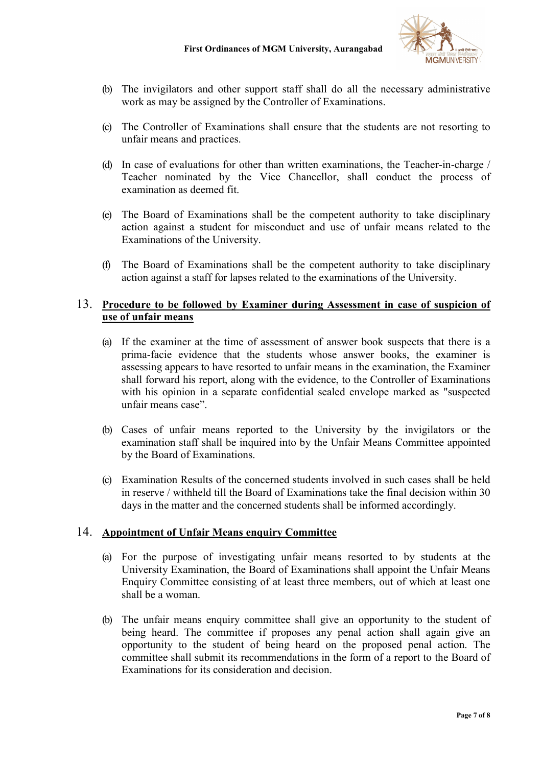

- (b) The invigilators and other support staff shall do all the necessary administrative work as may be assigned by the Controller of Examinations.
- (c) The Controller of Examinations shall ensure that the students are not resorting to unfair means and practices.
- (d) In case of evaluations for other than written examinations, the Teacher-in-charge / Teacher nominated by the Vice Chancellor, shall conduct the process of examination as deemed fit.
- (e) The Board of Examinations shall be the competent authority to take disciplinary action against a student for misconduct and use of unfair means related to the Examinations of the University.
- (f) The Board of Examinations shall be the competent authority to take disciplinary action against a staff for lapses related to the examinations of the University.

### 13. Procedure to be followed by Examiner during Assessment in case of suspicion of use of unfair means

- (a) If the examiner at the time of assessment of answer book suspects that there is a prima-facie evidence that the students whose answer books, the examiner is assessing appears to have resorted to unfair means in the examination, the Examiner shall forward his report, along with the evidence, to the Controller of Examinations with his opinion in a separate confidential sealed envelope marked as "suspected unfair means case".
- (b) Cases of unfair means reported to the University by the invigilators or the examination staff shall be inquired into by the Unfair Means Committee appointed by the Board of Examinations.
- (c) Examination Results of the concerned students involved in such cases shall be held in reserve / withheld till the Board of Examinations take the final decision within 30 days in the matter and the concerned students shall be informed accordingly.

### 14. Appointment of Unfair Means enquiry Committee

- (a) For the purpose of investigating unfair means resorted to by students at the University Examination, the Board of Examinations shall appoint the Unfair Means Enquiry Committee consisting of at least three members, out of which at least one shall be a woman.
- (b) The unfair means enquiry committee shall give an opportunity to the student of being heard. The committee if proposes any penal action shall again give an opportunity to the student of being heard on the proposed penal action. The committee shall submit its recommendations in the form of a report to the Board of Examinations for its consideration and decision.